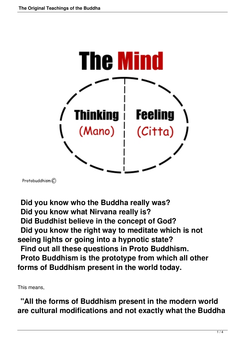

Protobuddhism $\mathcal{C}$ 

 **Did you know who the Buddha really was? Did you know what Nirvana really is? Did Buddhist believe in the concept of God? Did you know the right way to meditate which is not seeing lights or going into a hypnotic state? Find out all these questions in Proto Buddhism. Proto Buddhism is the prototype from which all other forms of Buddhism present in the world today.** 

This means,

 **"All the forms of Buddhism present in the modern world are cultural modifications and not exactly what the Buddha**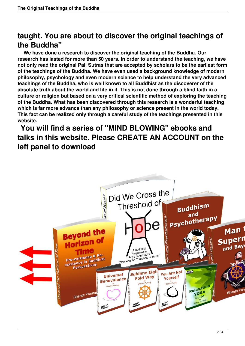## **taught. You are about to discover the original teachings of the Buddha"**

 **We have done a research to discover the original teaching of the Buddha. Our research has lasted for more than 50 years. In order to understand the teaching, we have not only read the original Pali Sutras that are accepted by scholars to be the earliest form of the teachings of the Buddha. We have even used a background knowledge of modern philosophy, psychology and even modern science to help understand the very advanced teachings of the Buddha, who is well known to all Buddhist as the discoverer of the absolute truth about the world and life in it. This is not done through a blind faith in a culture or religion but based on a very critical scientific method of exploring the teaching of the Buddha. What has been discovered through this research is a wonderful teaching which is far more advance than any philosophy or science present in the world today. This fact can be realized only through a careful study of the teachings presented in this website.**

 **You will find a series of "MIND BLOWING" ebooks and talks in this website. Please CREATE AN ACCOUNT on the left panel to download**

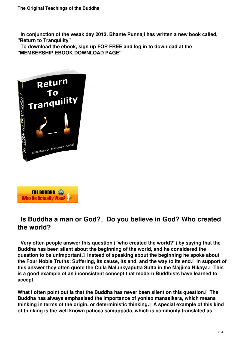**In conjunction of the vesak day 2013. Bhante Punnaji has written a new book called, "Return to Tranquility"**

 **To download the ebook, sign up FOR FREE and log in to download at the "MEMBERSHIP EBOOK DOWNLOAD PAGE"**





## **Is Buddha a man or God?** Do you believe in God? Who created **the world?**

 **Very often people answer this question ("who created the world?") by saying that the Buddha has been silent about the beginning of the world, and he considered the question to be unimportant. Instead of speaking about the beginning he spoke about the Four Noble Truths: Suffering, its cause, its end, and the way to its end. In support of this answer they often quote the Culla Malunkyaputta Sutta in the Majjima Nikaya. This is a good example of an inconsistent concept that modern Buddhists have learned to accept.**

What I often point out is that the Buddha has never been silent on this question.<sup>
I</sup> The **Buddha has always emphasised the importance of yoniso manasikara, which means thinking in terms of the origin, or deterministic thinking. A special example of this kind of thinking is the well known paticca samuppada, which is commonly translated as**